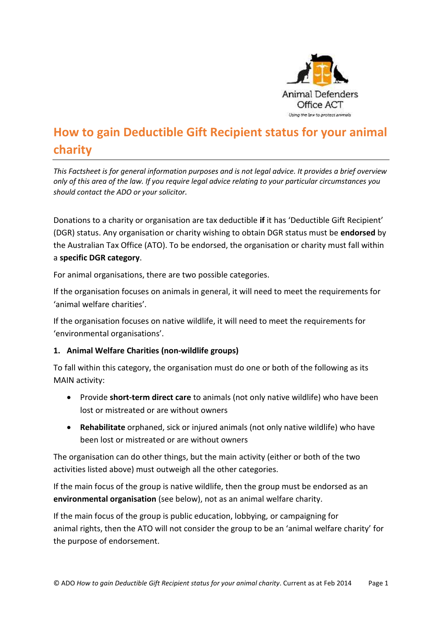

# **How to gain Deductible Gift Recipient status for your animal charity**

*This Factsheet is for general information purposes and is not legal advice. It provides a brief overview only of this area of the law. If you require legal advice relating to your particular circumstances you should contact the ADO or your solicitor.*

Donations to a charity or organisation are tax deductible **if** it has 'Deductible Gift Recipient' (DGR) status. Any organisation or charity wishing to obtain DGR status must be **endorsed** by the Australian Tax Office (ATO). To be endorsed, the organisation or charity must fall within a **specific DGR category**.

For animal organisations, there are two possible categories.

If the organisation focuses on animals in general, it will need to meet the requirements for 'animal welfare charities'.

If the organisation focuses on native wildlife, it will need to meet the requirements for 'environmental organisations'.

### **1. Animal Welfare Charities (non-wildlife groups)**

To fall within this category, the organisation must do one or both of the following as its MAIN activity:

- Provide **short-term direct care** to animals (not only native wildlife) who have been lost or mistreated or are without owners
- **Rehabilitate** orphaned, sick or injured animals (not only native wildlife) who have been lost or mistreated or are without owners

The organisation can do other things, but the main activity (either or both of the two activities listed above) must outweigh all the other categories.

If the main focus of the group is native wildlife, then the group must be endorsed as an **environmental organisation** (see below), not as an animal welfare charity.

If the main focus of the group is public education, lobbying, or campaigning for animal rights, then the ATO will not consider the group to be an 'animal welfare charity' for the purpose of endorsement.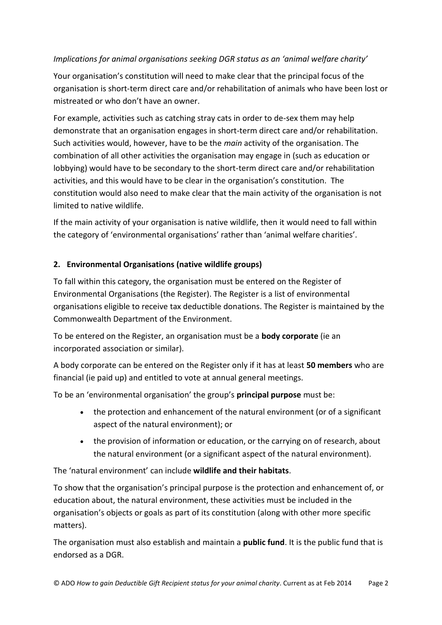## *Implications for animal organisations seeking DGR status as an 'animal welfare charity'*

Your organisation's constitution will need to make clear that the principal focus of the organisation is short-term direct care and/or rehabilitation of animals who have been lost or mistreated or who don't have an owner.

For example, activities such as catching stray cats in order to de-sex them may help demonstrate that an organisation engages in short-term direct care and/or rehabilitation. Such activities would, however, have to be the *main* activity of the organisation. The combination of all other activities the organisation may engage in (such as education or lobbying) would have to be secondary to the short-term direct care and/or rehabilitation activities, and this would have to be clear in the organisation's constitution. The constitution would also need to make clear that the main activity of the organisation is not limited to native wildlife.

If the main activity of your organisation is native wildlife, then it would need to fall within the category of 'environmental organisations' rather than 'animal welfare charities'.

### **2. Environmental Organisations (native wildlife groups)**

To fall within this category, the organisation must be entered on the Register of Environmental Organisations (the Register). The Register is a list of environmental organisations eligible to receive tax deductible donations. The Register is maintained by the Commonwealth Department of the Environment.

To be entered on the Register, an organisation must be a **body corporate** (ie an incorporated association or similar).

A body corporate can be entered on the Register only if it has at least **50 members** who are financial (ie paid up) and entitled to vote at annual general meetings.

To be an 'environmental organisation' the group's **principal purpose** must be:

- the protection and enhancement of the natural environment (or of a significant aspect of the natural environment); or
- the provision of information or education, or the carrying on of research, about the natural environment (or a significant aspect of the natural environment).

The 'natural environment' can include **wildlife and their habitats**.

To show that the organisation's principal purpose is the protection and enhancement of, or education about, the natural environment, these activities must be included in the organisation's objects or goals as part of its constitution (along with other more specific matters).

The organisation must also establish and maintain a **public fund**. It is the public fund that is endorsed as a DGR.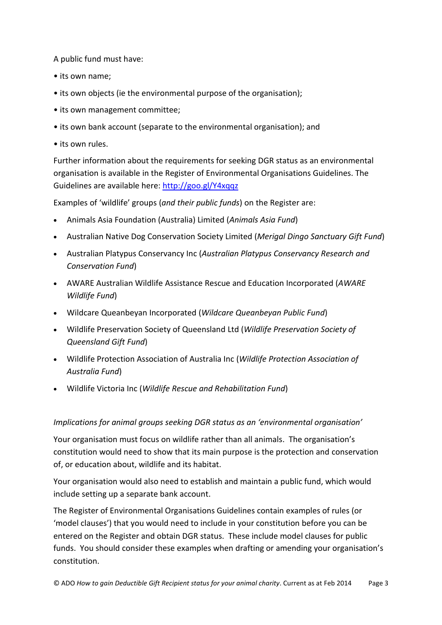A public fund must have:

- its own name;
- its own objects (ie the environmental purpose of the organisation);
- its own management committee;
- its own bank account (separate to the environmental organisation); and
- its own rules.

Further information about the requirements for seeking DGR status as an environmental organisation is available in the Register of Environmental Organisations Guidelines. The Guidelines are available here:<http://goo.gl/Y4xqqz>

Examples of 'wildlife' groups (*and their public funds*) on the Register are:

- Animals Asia Foundation (Australia) Limited (*Animals Asia Fund*)
- Australian Native Dog Conservation Society Limited (*Merigal Dingo Sanctuary Gift Fund*)
- Australian Platypus Conservancy Inc (*Australian Platypus Conservancy Research and Conservation Fund*)
- AWARE Australian Wildlife Assistance Rescue and Education Incorporated (*AWARE Wildlife Fund*)
- Wildcare Queanbeyan Incorporated (*Wildcare Queanbeyan Public Fund*)
- Wildlife Preservation Society of Queensland Ltd (*Wildlife Preservation Society of Queensland Gift Fund*)
- Wildlife Protection Association of Australia Inc (*Wildlife Protection Association of Australia Fund*)
- Wildlife Victoria Inc (*Wildlife Rescue and Rehabilitation Fund*)

### *Implications for animal groups seeking DGR status as an 'environmental organisation'*

Your organisation must focus on wildlife rather than all animals. The organisation's constitution would need to show that its main purpose is the protection and conservation of, or education about, wildlife and its habitat.

Your organisation would also need to establish and maintain a public fund, which would include setting up a separate bank account.

The Register of Environmental Organisations Guidelines contain examples of rules (or 'model clauses') that you would need to include in your constitution before you can be entered on the Register and obtain DGR status. These include model clauses for public funds. You should consider these examples when drafting or amending your organisation's constitution.